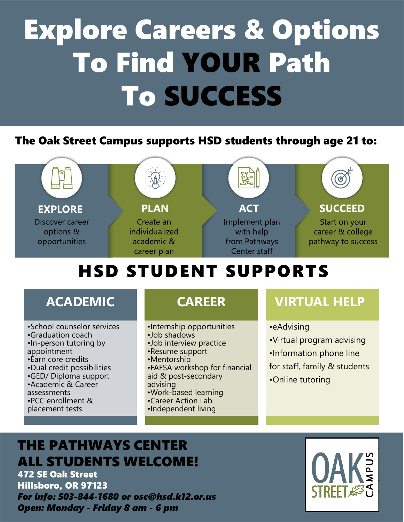# Explore Careers & Options To Find YOUR Path To SUCCESS

### The Oak Street Campus supports HSD students through age 21 to:



## HSD STUDENT SUPPORTS

### **ACADEMIC**

- •School counselor services
- •Graduation coach
- •In-person tutoring by appointment
- •Earn core credits
- •Dual credit possibilities
- •GED/ Diploma support
- •Academic & Career
- assessments
- •PCC enrollment &

#### placement tests

### CAREER

- •Internship opportunities
- •Job shadows
- •Job interview practice
- •Resume support
- •Mentorship
- •FAFSA workshop for financial aid & post-secondary
- advising
- •Work-based learning
- •Career Action Lab
- •Independent living

### VIRTUAL HELP

- •eAdvising
- •Virtual program advising
- •Information phone line
- for staff, family & students
- •Online tutoring

### THE PATHWAYS CENTER ALL STUDENTS WELCOME!

472 SE Oak Street Hillsboro, OR 97123 For info: 503-844-1680 or osc@hsd.k12.or.us Open: Monday - Friday 8 am - 6 pm